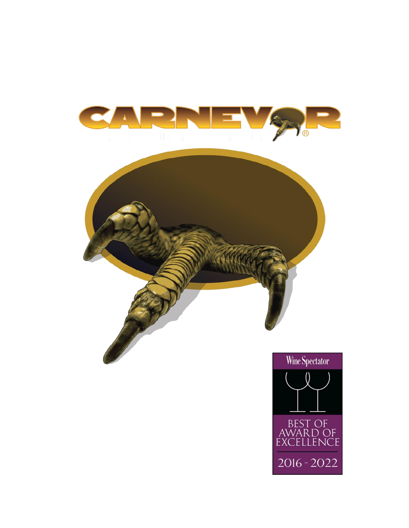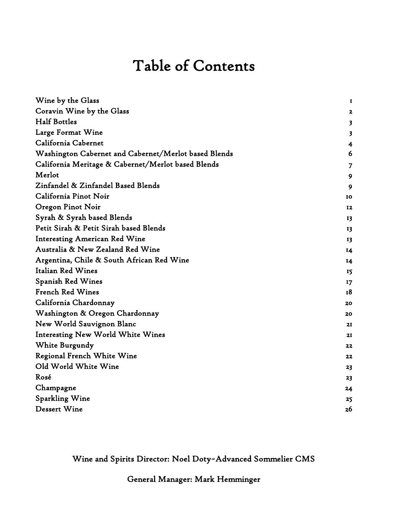# Table of Contents

| Wine by the Glass                                    | I                       |
|------------------------------------------------------|-------------------------|
| Coravin Wine by the Glass                            | 2                       |
| <b>Half Bottles</b>                                  | $\overline{\mathbf{3}}$ |
| Large Format Wine                                    | $\overline{\mathbf{3}}$ |
| California Cabernet                                  | 4                       |
| Washington Cabernet and Cabernet/Merlot based Blends | 6                       |
| California Meritage & Cabernet/Merlot based Blends   | 7                       |
| Merlot                                               | 9                       |
| Zinfandel & Zinfandel Based Blends                   | 9                       |
| California Pinot Noir                                | 10                      |
| Oregon Pinot Noir                                    | 12                      |
| Syrah & Syrah based Blends                           | 13                      |
| Petit Sirah & Petit Sirah based Blends               | 13                      |
| <b>Interesting American Red Wine</b>                 | 13                      |
| Australia & New Zealand Red Wine                     | 14                      |
| Argentina, Chile & South African Red Wine            | 14                      |
| Italian Red Wines                                    | 15                      |
| Spanish Red Wines                                    | 17                      |
| <b>French Red Wines</b>                              | 18                      |
| California Chardonnay                                | 20                      |
| Washington & Oregon Chardonnay                       | 20                      |
| New World Sauvignon Blanc                            | 21                      |
| <b>Interesting New World White Wines</b>             | 21                      |
| White Burgundy                                       | 22                      |
| <b>Regional French White Wine</b>                    | 22                      |
| Old World White Wine                                 | 23                      |
| Rosé                                                 | 23                      |
| Champagne                                            | 24                      |
| Sparkling Wine                                       | 25                      |
| <b>Dessert Wine</b>                                  | 26                      |

Wine and Spirits Director: Noel Doty~Advanced Sommelier CMS

General Manager: Mark Hemminger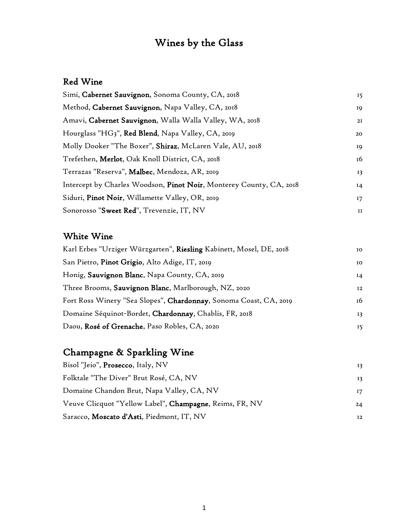## Wines by the Glass

#### Red Wine

| 15    |
|-------|
| 19    |
| 2I    |
| 20    |
| 19    |
| 16    |
| 13    |
| $I_4$ |
| 17    |
| II    |
|       |

#### White Wine

| Karl Erbes "Urziger Würzgarten", Riesling Kabinett, Mosel, DE, 2018<br>10 |                   |
|---------------------------------------------------------------------------|-------------------|
| San Pietro, Pinot Grigio, Alto Adige, IT, 2019<br><b>IO</b>               |                   |
| Honig, Sauvignon Blanc, Napa County, CA, 2019<br>14                       |                   |
| Three Brooms, Sauvignon Blanc, Marlborough, NZ, 2020                      | $12 \overline{ }$ |
| Fort Ross Winery "Sea Slopes", Chardonnay, Sonoma Coast, CA, 2019<br>16   |                   |
| Domaine Séquinot-Bordet, Chardonnay, Chablis, FR, 2018                    | 13                |
| Daou, Rosé of Grenache, Paso Robles, CA, 2020                             | 15                |

### Champagne & Sparkling Wine

| Bisol "Jeio", Prosecco, Italy, NV                       | 13 <sup>7</sup> |
|---------------------------------------------------------|-----------------|
| Folktale "The Diver" Brut Rosé, CA, NV                  | 13              |
| Domaine Chandon Brut, Napa Valley, CA, NV               | 17              |
| Veuve Clicquot "Yellow Label", Champagne, Reims, FR, NV | 24              |
| Saracco, Moscato d'Asti, Piedmont, IT, NV               | 12 <sup>7</sup> |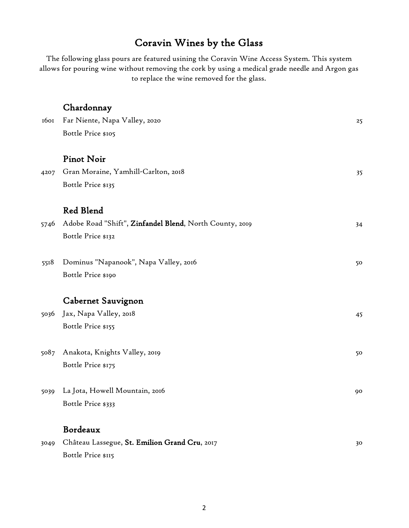### Coravin Wines by the Glass

The following glass pours are featured usining the Coravin Wine Access System. This system allows for pouring wine without removing the cork by using a medical grade needle and Argon gas to replace the wine removed for the glass.

|      | Chardonnay                                              |    |
|------|---------------------------------------------------------|----|
| 1601 | Far Niente, Napa Valley, 2020                           | 25 |
|      | Bottle Price \$105                                      |    |
|      | <b>Pinot Noir</b>                                       |    |
| 4207 | Gran Moraine, Yamhill-Carlton, 2018                     | 35 |
|      | Bottle Price \$135                                      |    |
|      | Red Blend                                               |    |
| 5746 | Adobe Road "Shift", Zinfandel Blend, North County, 2019 | 34 |
|      | Bottle Price \$132                                      |    |
| 5518 | Dominus "Napanook", Napa Valley, 2016                   | 50 |
|      | Bottle Price \$190                                      |    |
|      | Cabernet Sauvignon                                      |    |
| 5036 | Jax, Napa Valley, 2018                                  | 45 |
|      | Bottle Price \$155                                      |    |
| 5087 | Anakota, Knights Valley, 2019                           | 50 |
|      | Bottle Price \$175                                      |    |
| 5039 | La Jota, Howell Mountain, 2016                          | 90 |
|      | Bottle Price \$333                                      |    |
|      | Bordeaux                                                |    |
| 3049 | Château Lassegue, St. Emilion Grand Cru, 2017           | 30 |

Bottle Price \$115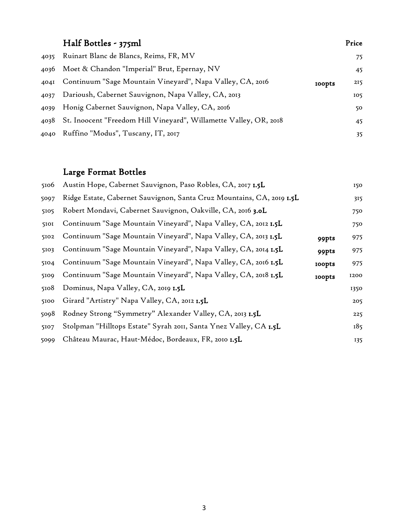#### Half Bottles - 375ml Ruinart Blanc de Blancs, Reims, FR, MV 75 Moet & Chandon "Imperial" Brut, Epernay, NV 45 4041 Continuum "Sage Mountain Vineyard", Napa Valley, CA, 2016 100pts 215 Darioush, Cabernet Sauvignon, Napa Valley, CA, 2013 105 Honig Cabernet Sauvignon, Napa Valley, CA, 2016 50 St. Inoocent "Freedom Hill Vineyard", Willamette Valley, OR, 2018 45 4040 Ruffino "Modus", Tuscany, IT, 2017

#### Large Format Bottles

| 5106 | Austin Hope, Cabernet Sauvignon, Paso Robles, CA, 2017 1.5L           |               | 150  |
|------|-----------------------------------------------------------------------|---------------|------|
| 5097 | Ridge Estate, Cabernet Sauvignon, Santa Cruz Mountains, CA, 2019 1.5L |               | 315  |
| 5105 | Robert Mondavi, Cabernet Sauvignon, Oakville, CA, 2016 3.0L           |               | 750  |
| 5101 | Continuum "Sage Mountain Vineyard", Napa Valley, CA, 2012 1.5L        |               | 750  |
| 5102 | Continuum "Sage Mountain Vineyard", Napa Valley, CA, 2013 1.5L        | 99pts         | 975  |
| 5103 | Continuum "Sage Mountain Vineyard", Napa Valley, CA, 2014 1.5L        | 99pts         | 975  |
| 5104 | Continuum "Sage Mountain Vineyard", Napa Valley, CA, 2016 1.5L        | <b>100pts</b> | 975  |
| 5109 | Continuum "Sage Mountain Vineyard", Napa Valley, CA, 2018 1.5L        | <b>100pts</b> | 1200 |
| 5108 | Dominus, Napa Valley, CA, 2019 1.5L                                   |               | 1350 |
| 5100 | Girard "Artistry" Napa Valley, CA, 2012 1.5L                          |               | 205  |
| 5098 | Rodney Strong "Symmetry" Alexander Valley, CA, 2013 1.5L              |               | 225  |
| 5107 | Stolpman "Hilltops Estate" Syrah 2011, Santa Ynez Valley, CA 1.5L     |               | 185  |
| 5099 | Château Maurac, Haut-Médoc, Bordeaux, FR, 2010 1.5L                   |               | 135  |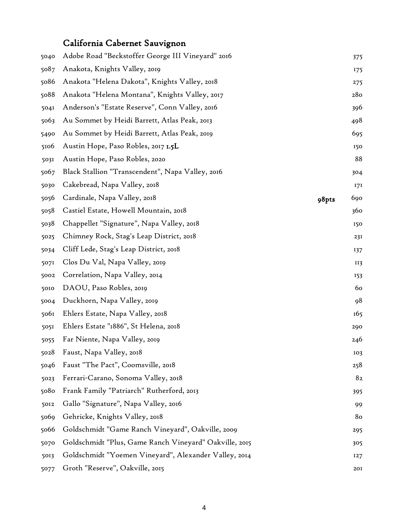### California Cabernet Sauvignon

| 5040 | Adobe Road "Beckstoffer George III Vineyard" 2016      |       | 375 |
|------|--------------------------------------------------------|-------|-----|
| 5087 | Anakota, Knights Valley, 2019                          |       | 175 |
| 5086 | Anakota "Helena Dakota", Knights Valley, 2018          |       | 275 |
| 5088 | Anakota "Helena Montana", Knights Valley, 2017         |       | 280 |
| 5041 | Anderson's "Estate Reserve", Conn Valley, 2016         |       | 396 |
| 5063 | Au Sommet by Heidi Barrett, Atlas Peak, 2013           |       | 498 |
| 5490 | Au Sommet by Heidi Barrett, Atlas Peak, 2019           |       | 695 |
| 5106 | Austin Hope, Paso Robles, 2017 1.5L                    |       | 150 |
| 5031 | Austin Hope, Paso Robles, 2020                         |       | 88  |
| 5067 | Black Stallion "Transcendent", Napa Valley, 2016       |       | 304 |
| 5030 | Cakebread, Napa Valley, 2018                           |       | 171 |
| 5056 | Cardinale, Napa Valley, 2018                           | 98pts | 690 |
| 5058 | Castiel Estate, Howell Mountain, 2018                  |       | 360 |
| 5038 | Chappellet "Signature", Napa Valley, 2018              |       | 150 |
| 5025 | Chimney Rock, Stag's Leap District, 2018               |       | 231 |
| 5034 | Cliff Lede, Stag's Leap District, 2018                 |       | 137 |
| 5071 | Clos Du Val, Napa Valley, 2019                         |       | II3 |
| 5002 | Correlation, Napa Valley, 2014                         |       | 153 |
| 5010 | DAOU, Paso Robles, 2019                                |       | 60  |
| 5004 | Duckhorn, Napa Valley, 2019                            |       | 98  |
| 5061 | Ehlers Estate, Napa Valley, 2018                       |       | 165 |
| 5051 | Ehlers Estate "1886", St Helena, 2018                  |       | 290 |
| 5055 | Far Niente, Napa Valley, 2019                          |       | 246 |
| 5028 | Faust, Napa Valley, 2018                               |       | 103 |
| 5046 | Faust "The Pact", Coomsville, 2018                     |       | 258 |
| 5023 | Ferrari-Carano, Sonoma Valley, 2018                    |       | 82  |
| 5080 | Frank Family "Patriarch" Rutherford, 2013              |       | 395 |
| 5012 | Gallo "Signature", Napa Valley, 2016                   |       | 99  |
| 5069 | Gehricke, Knights Valley, 2018                         |       | 80  |
| 5066 | Goldschmidt "Game Ranch Vineyard", Oakville, 2009      |       | 295 |
| 5070 | Goldschmidt "Plus, Game Ranch Vineyard" Oakville, 2015 |       | 305 |
| 5013 | Goldschmidt "Yoemen Vineyard", Alexander Valley, 2014  |       | 127 |
| 5077 | Groth "Reserve", Oakville, 2015                        |       | 20I |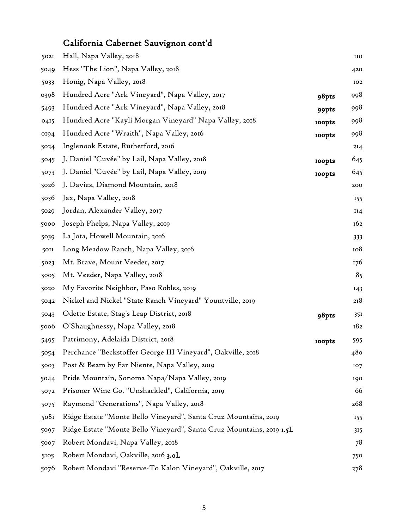## California Cabernet Sauvignon cont'd

| <b>502I</b>      | Hall, Napa Valley, 2018                                              |               | IIO             |
|------------------|----------------------------------------------------------------------|---------------|-----------------|
| 5049             | Hess "The Lion", Napa Valley, 2018                                   |               | 420             |
| 5033             | Honig, Napa Valley, 2018                                             |               | IO <sub>2</sub> |
| 0398             | Hundred Acre "Ark Vineyard", Napa Valley, 2017                       | 98pts         | 998             |
| 5493             | Hundred Acre "Ark Vineyard", Napa Valley, 2018                       | 99pts         | 998             |
| 0415             | Hundred Acre "Kayli Morgan Vineyard" Napa Valley, 2018               | <b>100pts</b> | 998             |
| 0194             | Hundred Acre "Wraith", Napa Valley, 2016                             | <b>100pts</b> | 998             |
| 5024             | Inglenook Estate, Rutherford, 2016                                   |               | 2I4             |
| 5045             | J. Daniel "Cuvée" by Lail, Napa Valley, 2018                         | <b>100pts</b> | 645             |
| 5073             | J. Daniel "Cuvée" by Lail, Napa Valley, 2019                         | <b>100pts</b> | 645             |
| 5026             | J. Davies, Diamond Mountain, 2018                                    |               | 200             |
| 5036             | Jax, Napa Valley, 2018                                               |               | 155             |
| 5029             | Jordan, Alexander Valley, 2017                                       |               | II4             |
| 5000             | Joseph Phelps, Napa Valley, 2019                                     |               | 162             |
| 5039             | La Jota, Howell Mountain, 2016                                       |               | 333             |
| <b>50II</b>      | Long Meadow Ranch, Napa Valley, 2016                                 |               | 108             |
| 5023             | Mt. Brave, Mount Veeder, 2017                                        |               | 176             |
| 5005             | Mt. Veeder, Napa Valley, 2018                                        |               | 85              |
| 5020             | My Favorite Neighbor, Paso Robles, 2019                              |               | 143             |
| 5042             | Nickel and Nickel "State Ranch Vineyard" Yountville, 2019            |               | 218             |
| 5043             | Odette Estate, Stag's Leap District, 2018                            | 98pts         | 351             |
| 5006             | O'Shaughnessy, Napa Valley, 2018                                     |               | 182             |
| 5495             | Patrimony, Adelaida District, 2018                                   | <b>100pts</b> | 595             |
| 5054             | Perchance "Beckstoffer George III Vineyard", Oakville, 2018          |               | 480             |
| 5003             | Post & Beam by Far Niente, Napa Valley, 2019                         |               | 107             |
| 5044             | Pride Mountain, Sonoma Napa/Napa Valley, 2019                        |               | 190             |
| 5072             | Prisoner Wine Co. "Unshackled", California, 2019                     |               | 66              |
| 5075             | Raymond "Generations", Napa Valley, 2018                             |               | 268             |
| 508 <sub>I</sub> | Ridge Estate "Monte Bello Vineyard", Santa Cruz Mountains, 2019      |               | 155             |
| 5097             | Ridge Estate "Monte Bello Vineyard", Santa Cruz Mountains, 2019 1.5L |               | 315             |
| 5007             | Robert Mondavi, Napa Valley, 2018                                    |               | 78              |
| 5105             | Robert Mondavi, Oakville, 2016 3.0L                                  |               | 750             |
| 5076             | Robert Mondavi "Reserve-To Kalon Vineyard", Oakville, 2017           |               | 278             |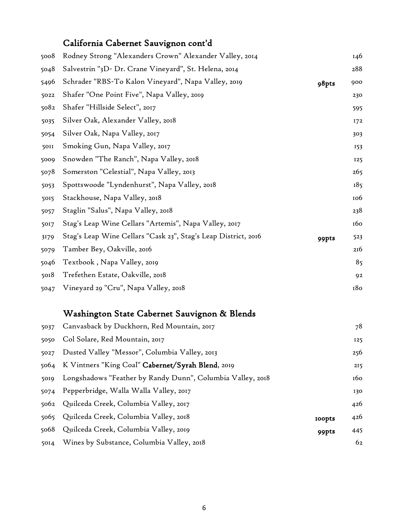### California Cabernet Sauvignon cont'd

| 5008        | Rodney Strong "Alexanders Crown" Alexander Valley, 2014        |       | 146        |
|-------------|----------------------------------------------------------------|-------|------------|
| 5048        | Salvestrin "3D- Dr. Crane Vineyard", St. Helena, 2014          |       | 288        |
| 5496        | Schrader "RBS-To Kalon Vineyard", Napa Valley, 2019            | 98pts | 900        |
| 5022        | Shafer "One Point Five", Napa Valley, 2019                     |       | 230        |
| 5082        | Shafer "Hillside Select", 2017                                 |       | 595        |
| 5035        | Silver Oak, Alexander Valley, 2018                             |       | 172        |
| 5054        | Silver Oak, Napa Valley, 2017                                  |       | 303        |
| <b>SOII</b> | Smoking Gun, Napa Valley, 2017                                 |       | 153        |
| 5009        | Snowden "The Ranch", Napa Valley, 2018                         |       | 125        |
| 5078        | Somerston "Celestial", Napa Valley, 2013                       |       | 265        |
| 5053        | Spottswoode "Lyndenhurst", Napa Valley, 2018                   |       | 185        |
| 5015        | Stackhouse, Napa Valley, 2018                                  |       | <b>106</b> |
| 5057        | Staglin "Salus", Napa Valley, 2018                             |       | 238        |
| 5017        | Stag's Leap Wine Cellars "Artemis", Napa Valley, 2017          |       | 160        |
| 3179        | Stag's Leap Wine Cellars "Cask 23", Stag's Leap District, 2016 | 99pts | 523        |
| 5079        | Tamber Bey, Oakville, 2016                                     |       | 216        |
| 5046        | Textbook, Napa Valley, 2019                                    |       | 85         |
| 5018        | Trefethen Estate, Oakville, 2018                               |       | 92         |
| 5047        | Vineyard 29 "Cru", Napa Valley, 2018                           |       | 180        |

#### Washington State Cabernet Sauvignon & Blends

| 5037 | Canvasback by Duckhorn, Red Mountain, 2017                 |               | 78  |
|------|------------------------------------------------------------|---------------|-----|
| 5050 | Col Solare, Red Mountain, 2017                             |               | 125 |
| 5027 | Dusted Valley "Messor", Columbia Valley, 2013              |               | 256 |
|      | 5064 K Vintners "King Coal" Cabernet/Syrah Blend, 2019     |               | 215 |
| 5019 | Longshadows "Feather by Randy Dunn", Columbia Valley, 2018 |               | 160 |
| 5074 | Pepperbridge, Walla Walla Valley, 2017                     |               | 130 |
|      | 5062 Quilceda Creek, Columbia Valley, 2017                 |               | 426 |
|      | 5065 Quilceda Creek, Columbia Valley, 2018                 | <b>IOOpts</b> | 426 |
| 5068 | Quilceda Creek, Columbia Valley, 2019                      | 99pts         | 445 |
| 50I4 | Wines by Substance, Columbia Valley, 2018                  |               | 62  |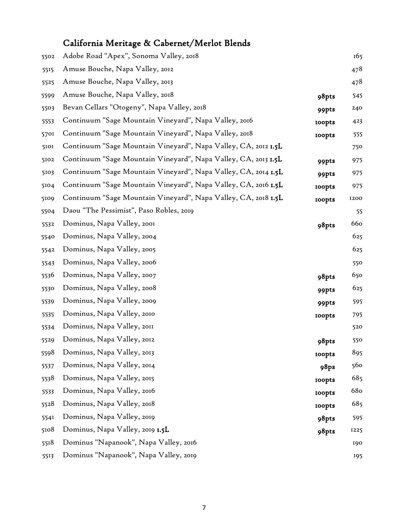## California Meritage & Cabernet/Merlot Blends

| 5502 | Adobe Road "Apex", Sonoma Valley, 2018                         |               | 165             |
|------|----------------------------------------------------------------|---------------|-----------------|
| 5515 | Amuse Bouche, Napa Valley, 2012                                |               | 478             |
| 5525 | Amuse Bouche, Napa Valley, 2013                                |               | 478             |
| 5599 | Amuse Bouche, Napa Valley, 2018                                | 98pts         | 545             |
| 5503 | Bevan Cellars "Otogeny", Napa Valley, 2018                     | 99pts         | 240             |
| 5553 | Continuum "Sage Mountain Vineyard", Napa Valley, 2016          | <b>100pts</b> | 423             |
| 5701 | Continuum "Sage Mountain Vineyard", Napa Valley, 2018          | <b>roopts</b> | 555             |
| 5101 | Continuum "Sage Mountain Vineyard", Napa Valley, CA, 2012 1.5L |               | 750             |
| 5102 | Continuum "Sage Mountain Vineyard", Napa Valley, CA, 2013 1.5L | 99pts         | 975             |
| 5103 | Continuum "Sage Mountain Vineyard", Napa Valley, CA, 2014 1.5L | 99pts         | 975             |
| 5104 | Continuum "Sage Mountain Vineyard", Napa Valley, CA, 2016 1.5L | <b>100pts</b> | 975             |
| 5109 | Continuum "Sage Mountain Vineyard", Napa Valley, CA, 2018 1.5L | <b>100pts</b> | 1200            |
| 5504 | Daou "The Pessimist", Paso Robles, 2019                        |               | 55              |
| 5532 | Dominus, Napa Valley, 2001                                     | 98pts         | 660             |
| 5540 | Dominus, Napa Valley, 2004                                     |               | 625             |
| 5542 | Dominus, Napa Valley, 2005                                     |               | 625             |
| 5543 | Dominus, Napa Valley, 2006                                     |               | 550             |
| 5536 | Dominus, Napa Valley, 2007                                     | 98pts         | 650             |
| 5530 | Dominus, Napa Valley, 2008                                     | 99pts         | 625             |
| 5539 | Dominus, Napa Valley, 2009                                     | 99pts         | 595             |
| 5535 | Dominus, Napa Valley, 2010                                     | <b>100pts</b> | 795             |
| 5534 | Dominus, Napa Valley, 2011                                     |               | 520             |
| 5529 | Dominus, Napa Valley, 2012                                     | 98pts         | 550             |
| 5598 | Dominus, Napa Valley, 2013                                     | <b>roopts</b> | 895             |
| 5537 | Dominus, Napa Valley, 2014                                     | 98ps          | 560             |
| 5538 | Dominus, Napa Valley, 2015                                     | <b>100pts</b> | 685             |
| 5533 | Dominus, Napa Valley, 2016                                     | <b>100pts</b> | 68 <sub>o</sub> |
| 5528 | Dominus, Napa Valley, 2018                                     | <b>100pts</b> | 685             |
| 5541 | Dominus, Napa Valley, 2019                                     | 98pts         | 595             |
| 5108 | Dominus, Napa Valley, 2019 1.5L                                | 98pts         | 1225            |
| 5518 | Dominus "Napanook", Napa Valley, 2016                          |               | 190             |
| 5513 | Dominus "Napanook", Napa Valley, 2019                          |               | 195             |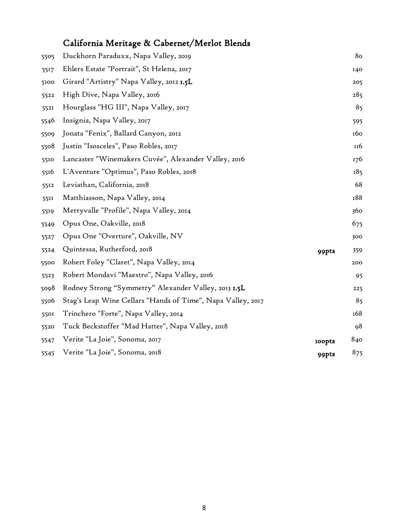## California Meritage & Cabernet/Merlot Blends

| 5505 | Duckhorn Paraduxx, Napa Valley, 2019                        |               | 80  |
|------|-------------------------------------------------------------|---------------|-----|
| 5517 | Ehlers Estate "Portrait", St Helena, 2017                   |               | 140 |
| 5100 | Girard "Artistry" Napa Valley, 2012 1.5L                    |               | 205 |
| 5522 | High Dive, Napa Valley, 2016                                |               | 285 |
| 5521 | Hourglass "HG III", Napa Valley, 2017                       |               | 85  |
| 5546 | Insignia, Napa Valley, 2017                                 |               | 595 |
| 5509 | Jonata "Fenix", Ballard Canyon, 2012                        |               | 160 |
| 5508 | Justin "Isosceles", Paso Robles, 2017                       |               | 116 |
| 5510 | Lancaster "Winemakers Cuvée", Alexander Valley, 2016        |               | 176 |
| 5516 | L'Aventure "Optimus", Paso Robles, 2018                     |               | 185 |
| 5512 | Leviathan, California, 2018                                 |               | 68  |
| 5511 | Matthiasson, Napa Valley, 2014                              |               | 188 |
| 5519 | Merryvalle "Profile", Napa Valley, 2014                     |               | 360 |
| 5549 | Opus One, Oakville, 2018                                    |               | 675 |
| 5527 | Opus One "Overture", Oakville, NV                           |               | 300 |
| 5524 | Quintessa, Rutherford, 2018                                 | 99pts         | 359 |
| 5500 | Robert Foley "Claret", Napa Valley, 2014                    |               | 200 |
| 5523 | Robert Mondavi "Maestro", Napa Valley, 2016                 |               | 95  |
| 5098 | Rodney Strong "Symmetry" Alexander Valley, 2013 1.5L        |               | 225 |
| 5506 | Stag's Leap Wine Cellars "Hands of Time", Napa Valley, 2017 |               | 85  |
| 5501 | Trinchero "Forte", Napa Valley, 2014                        |               | 168 |
| 5520 | Tuck Beckstoffer "Mad Hatter", Napa Valley, 2018            |               | 98  |
| 5547 | Verite "La Joie", Sonoma, 2017                              | <b>100pts</b> | 840 |
| 5545 | Verite "La Joie", Sonoma, 2018                              | 99pts         | 875 |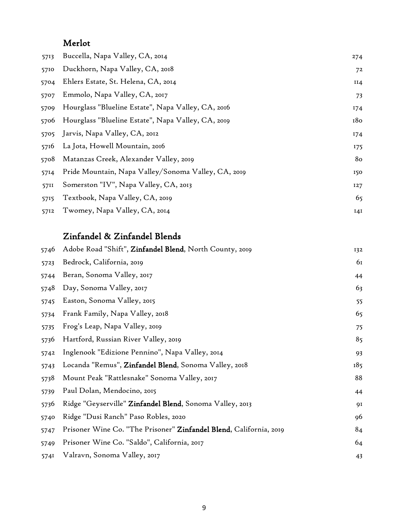#### Merlot

| 5713 | Buccella, Napa Valley, CA, 2014                     | 274 |
|------|-----------------------------------------------------|-----|
| 5710 | Duckhorn, Napa Valley, CA, 2018                     | 72  |
| 5704 | Ehlers Estate, St. Helena, CA, 2014                 | II4 |
| 5707 | Emmolo, Napa Valley, CA, 2017                       | 73  |
| 5709 | Hourglass "Blueline Estate", Napa Valley, CA, 2016  | 174 |
| 5706 | Hourglass "Blueline Estate", Napa Valley, CA, 2019  | 180 |
|      | 5705 Jarvis, Napa Valley, CA, 2012                  | 174 |
| 5716 | La Jota, Howell Mountain, 2016                      | 175 |
| 5708 | Matanzas Creek, Alexander Valley, 2019              | 80  |
| 5714 | Pride Mountain, Napa Valley/Sonoma Valley, CA, 2019 | 150 |
| 5711 | Somerston "IV", Napa Valley, CA, 2013               | 127 |
| 5715 | Textbook, Napa Valley, CA, 2019                     | 65  |
| 5712 | Twomey, Napa Valley, CA, 2014                       | 14I |

#### Zinfandel & Zinfandel Blends

| 5746 | Adobe Road "Shift", Zinfandel Blend, North County, 2019            | 132 |
|------|--------------------------------------------------------------------|-----|
| 5723 | Bedrock, California, 2019                                          | 61  |
| 5744 | Beran, Sonoma Valley, 2017                                         | 44  |
| 5748 | Day, Sonoma Valley, 2017                                           | 63  |
| 5745 | Easton, Sonoma Valley, 2015                                        | 55  |
| 5734 | Frank Family, Napa Valley, 2018                                    | 65  |
| 5735 | Frog's Leap, Napa Valley, 2019                                     | 75  |
| 5736 | Hartford, Russian River Valley, 2019                               | 85  |
| 5742 | Inglenook "Edizione Pennino", Napa Valley, 2014                    | 93  |
| 5743 | Locanda "Remus", Zinfandel Blend, Sonoma Valley, 2018              | 185 |
| 5738 | Mount Peak "Rattlesnake" Sonoma Valley, 2017                       | 88  |
| 5739 | Paul Dolan, Mendocino, 2015                                        | 44  |
| 5736 | Ridge "Geyserville" Zinfandel Blend, Sonoma Valley, 2013           | 91  |
| 5740 | Ridge "Dusi Ranch" Paso Robles, 2020                               | 96  |
| 5747 | Prisoner Wine Co. "The Prisoner" Zinfandel Blend, California, 2019 | 84  |
| 5749 | Prisoner Wine Co. "Saldo", California, 2017                        | 64  |
| 5741 | Valravn, Sonoma Valley, 2017                                       | 43  |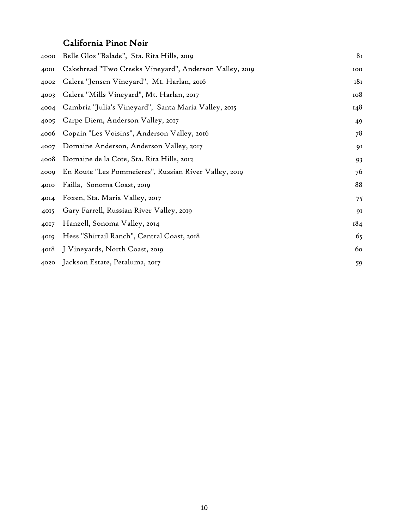#### California Pinot Noir

| 4000 | Belle Glos "Balade", Sta. Rita Hills, 2019             | 8 <sub>I</sub> |
|------|--------------------------------------------------------|----------------|
| 4001 | Cakebread "Two Creeks Vineyard", Anderson Valley, 2019 | 100            |
| 4002 | Calera "Jensen Vineyard", Mt. Harlan, 2016             | 181            |
| 4003 | Calera "Mills Vineyard", Mt. Harlan, 2017              | 108            |
| 4004 | Cambria "Julia's Vineyard", Santa Maria Valley, 2015   | 148            |
| 4005 | Carpe Diem, Anderson Valley, 2017                      | 49             |
| 4006 | Copain "Les Voisins", Anderson Valley, 2016            | 78             |
| 4007 | Domaine Anderson, Anderson Valley, 2017                | 91             |
| 4008 | Domaine de la Cote, Sta. Rita Hills, 2012              | 93             |
| 4009 | En Route "Les Pommeieres", Russian River Valley, 2019  | 76             |
| 4010 | Failla, Sonoma Coast, 2019                             | 88             |
| 4014 | Foxen, Sta. Maria Valley, 2017                         | 75             |
| 4015 | Gary Farrell, Russian River Valley, 2019               | 91             |
| 4017 | Hanzell, Sonoma Valley, 2014                           | 184            |
| 4019 | Hess "Shirtail Ranch", Central Coast, 2018             | 65             |
| 4018 | J Vineyards, North Coast, 2019                         | 60             |
| 4020 | Jackson Estate, Petaluma, 2017                         | 59             |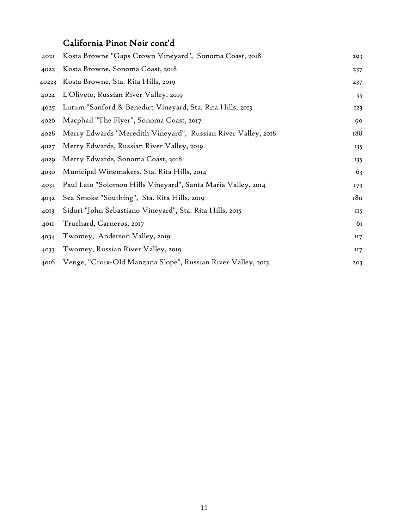#### California Pinot Noir cont'd

| 402I  | Kosta Browne "Gaps Crown Vineyard", Sonoma Coast, 2018        | 293 |
|-------|---------------------------------------------------------------|-----|
| 4022  | Kosta Browne, Sonoma Coast, 2018                              | 237 |
| 40223 | Kosta Browne, Sta. Rita Hills, 2019                           | 237 |
| 4024  | L'Oliveto, Russian River Valley, 2019                         | 55  |
| 4025  | Lutum "Sanford & Benedict Vineyard, Sta. Rita Hills, 2013     | 123 |
| 4026  | Macphail "The Flyer", Sonoma Coast, 2017                      | 90  |
| 4028  | Merry Edwards "Meredith Vineyard", Russian River Valley, 2018 | 188 |
| 4027  | Merry Edwards, Russian River Valley, 2019                     | 135 |
| 4029  | Merry Edwards, Sonoma Coast, 2018                             | 135 |
| 4030  | Municipal Winemakers, Sta. Rita Hills, 2014                   | 63  |
| 4031  | Paul Lato "Solomon Hills Vineyard", Santa Maria Valley, 2014  | 173 |
| 4032  | Sea Smoke "Southing", Sta. Rita Hills, 2019                   | 180 |
| 4013  | Siduri "John Sebastiano Vineyard", Sta. Rita Hills, 2015      | II5 |
| 40II  | Truchard, Carneros, 2017                                      | 61  |
| 4034  | Twomey, Anderson Valley, 2019                                 | II7 |
| 4033  | Twomey, Russian River Valley, 2019                            | II7 |
| 4016  | Venge, "Croix-Old Manzana Slope", Russian River Valley, 2013  | 203 |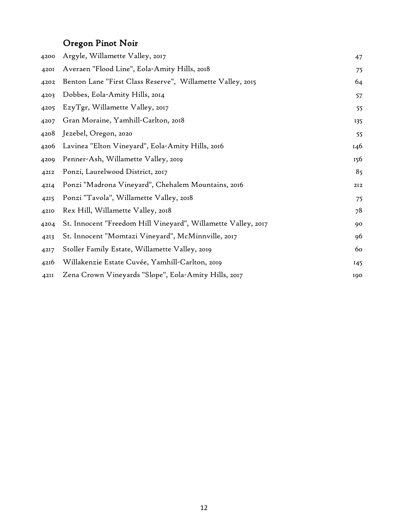## Oregon Pinot Noir

| 4200 | Argyle, Willamette Valley, 2017                               | 47  |
|------|---------------------------------------------------------------|-----|
| 4201 | Averaen "Flood Line", Eola-Amity Hills, 2018                  | 75  |
| 4202 | Benton Lane "First Class Reserve", Willamette Valley, 2015    | 64  |
| 4203 | Dobbes, Eola-Amity Hills, 2014                                | 57  |
| 4205 | EzyTgr, Willamette Valley, 2017                               | 55  |
| 4207 | Gran Moraine, Yamhill-Carlton, 2018                           | 135 |
| 4208 | Jezebel, Oregon, 2020                                         | 55  |
| 4206 | Lavinea "Elton Vineyard", Eola-Amity Hills, 2016              | 146 |
| 4209 | Penner-Ash, Willamette Valley, 2019                           | 156 |
| 4212 | Ponzi, Laurelwood District, 2017                              | 85  |
| 4214 | Ponzi "Madrona Vineyard", Chehalem Mountains, 2016            | 212 |
| 4215 | Ponzi "Tavola", Willamette Valley, 2018                       | 75  |
| 4210 | Rex Hill, Willamette Valley, 2018                             | 78  |
| 4204 | St. Innocent "Freedom Hill Vineyard", Willamette Valley, 2017 | 90  |
| 4213 | St. Innocent "Momtazi Vineyard", McMinnville, 2017            | 96  |
| 4217 | Stoller Family Estate, Willamette Valley, 2019                | 60  |
| 4216 | Willakenzie Estate Cuvée, Yamhill-Carlton, 2019               | 145 |
| 42II | Zena Crown Vineyards "Slope", Eola-Amity Hills, 2017          | 190 |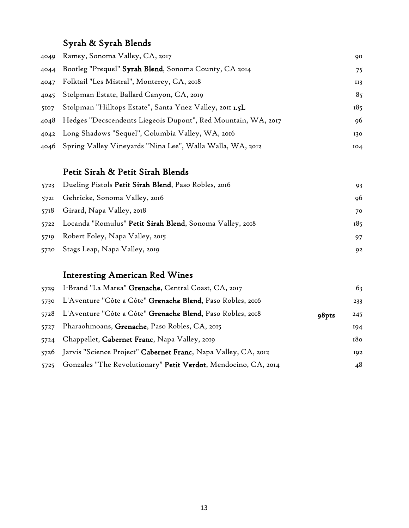#### Syrah & Syrah Blends

|      | 4049   Ramey, Sonoma Valley, CA, 2017                              | 90  |
|------|--------------------------------------------------------------------|-----|
|      | 4044 Bootleg "Prequel" Syrah Blend, Sonoma County, CA 2014         | 75  |
|      | 4047 Folktail "Les Mistral", Monterey, CA, 2018                    | II3 |
|      | 4045 Stolpman Estate, Ballard Canyon, CA, 2019                     | 85  |
| 5107 | Stolpman "Hilltops Estate", Santa Ynez Valley, 2011 1.5L           | 185 |
|      | 4048 Hedges "Decscendents Liegeois Dupont", Red Mountain, WA, 2017 | 96  |
|      | 4042 Long Shadows "Sequel", Columbia Valley, WA, 2016              | 130 |
|      | 4046   Spring Valley Vineyards "Nina Lee", Walla Walla, WA, 2012   | IO4 |

#### Petit Sirah & Petit Sirah Blends

| 5723 Dueling Pistols Petit Sirah Blend, Paso Robles, 2016     | 93  |
|---------------------------------------------------------------|-----|
| 5721 Gehricke, Sonoma Valley, 2016                            | 96  |
| 5718 Girard, Napa Valley, 2018                                | 70  |
| 5722 Locanda "Romulus" Petit Sirah Blend, Sonoma Valley, 2018 | 185 |
| 5719 Robert Foley, Napa Valley, 2015                          | 97  |
| 5720 Stags Leap, Napa Valley, 2019                            | 92  |

#### Interesting American Red Wines

|      | 5729 I-Brand "La Marea" Grenache, Central Coast, CA, 2017           |       | 63  |
|------|---------------------------------------------------------------------|-------|-----|
| 5730 | L'Aventure "Côte a Côte" <b>Grenache Blend</b> , Paso Robles, 2016  |       | 233 |
| 5728 | L'Aventure "Côte a Côte" <b>Grenache Blend</b> , Paso Robles, 2018  | 98pts | 245 |
| 5727 | Pharaohmoans, Grenache, Paso Robles, CA, 2015                       |       | 194 |
| 5724 | Chappellet, Cabernet Franc, Napa Valley, 2019                       |       | 180 |
|      | 5726 Jarvis "Science Project" Cabernet Franc, Napa Valley, CA, 2012 |       | 192 |
| 5725 | Gonzales "The Revolutionary" Petit Verdot, Mendocino, CA, 2014      |       | 48  |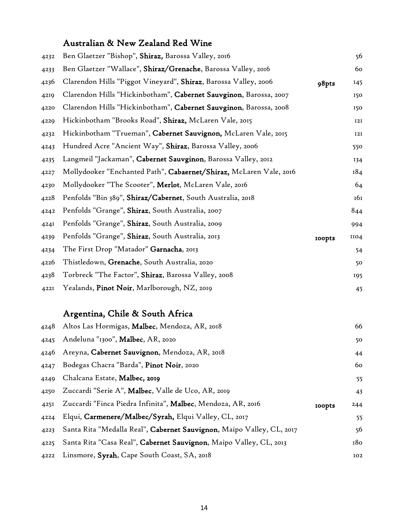#### Australian & New Zealand Red Wine

| 4232 | Ben Glaetzer "Bishop", Shiraz, Barossa Valley, 2016                |               | 56   |
|------|--------------------------------------------------------------------|---------------|------|
| 4233 | Ben Glaetzer "Wallace", Shiraz/Grenache, Barossa Valley, 2016      |               | 60   |
| 4236 | Clarendon Hills "Piggot Vineyard", Shiraz, Barossa Valley, 2006    | 98pts         | 145  |
| 4219 | Clarendon Hills "Hickinbotham", Cabernet Sauvginon, Barossa, 2007  |               | 150  |
| 4220 | Clarendon Hills "Hickinbotham", Cabernet Sauvginon, Barossa, 2008  |               | 150  |
| 4229 | Hickinbotham "Brooks Road", Shiraz, McLaren Vale, 2015             |               | 12I  |
| 4232 | Hickinbotham "Trueman", Cabernet Sauvignon, McLaren Vale, 2015     |               | 12I  |
| 4243 | Hundred Acre "Ancient Way", Shiraz, Barossa Valley, 2006           |               | 550  |
| 4235 | Langmeil "Jackaman", Cabernet Sauvginon, Barossa Valley, 2012      |               | 134  |
| 4227 | Mollydooker "Enchanted Path", Cabaernet/Shiraz, McLaren Vale, 2016 |               | 184  |
| 4230 | Mollydooker "The Scooter", Merlot, McLaren Vale, 2016              |               | 64   |
| 4228 | Penfolds "Bin 389", Shiraz/Cabernet, South Australia, 2018         |               | 161  |
| 4242 | Penfolds "Grange", Shiraz, South Australia, 2007                   |               | 844  |
| 4241 | Penfolds "Grange", Shiraz, South Australia, 2009                   |               | 994  |
| 4239 | Penfolds "Grange", Shiraz, South Australia, 2013                   | <b>roopts</b> | IIO4 |
| 4234 | The First Drop "Matador" Garnacha, 2013                            |               | 54   |
| 4226 | Thistledown, Grenache, South Australia, 2020                       |               | 50   |
| 4238 | Torbreck "The Factor", Shiraz, Barossa Valley, 2008                |               | 195  |
| 4221 | Yealands, Pinot Noir, Marlborough, NZ, 2019                        |               | 45   |
|      | Argentina, Chile & South Africa                                    |               |      |

|      | 4248 Altos Las Hormigas, Malbec, Mendoza, AR, 2018                    |               | 66  |
|------|-----------------------------------------------------------------------|---------------|-----|
| 4245 | Andeluna "1300", Malbec, AR, 2020                                     |               | 50  |
| 4246 | Areyna, Cabernet Sauvignon, Mendoza, AR, 2018                         |               | 44  |
| 4247 | Bodegas Chacra "Barda", Pinot Noir, 2020                              |               | 60  |
| 4249 | Chalcana Estate, Malbec, 2019                                         |               | 55  |
| 4250 | Zuccardi "Serie A", Malbec, Valle de Uco, AR, 2019                    |               | 43  |
| 4251 | Zuccardi "Finca Piedra Infinita", Malbec, Mendoza, AR, 2016           | <b>IOOpts</b> | 244 |
| 4224 | Elqui, Carmenere/Malbec/Syrah, Elqui Valley, CL, 2017                 |               | 55  |
| 4223 | Santa Rita "Medalla Real", Cabernet Sauvignon, Maipo Valley, CL, 2017 |               | 56  |
| 4225 | Santa Rita "Casa Real", Cabernet Sauvignon, Maipo Valley, CL, 2013    |               | 180 |
| 4222 | Linsmore, Syrah, Cape South Coast, SA, 2018                           |               | 102 |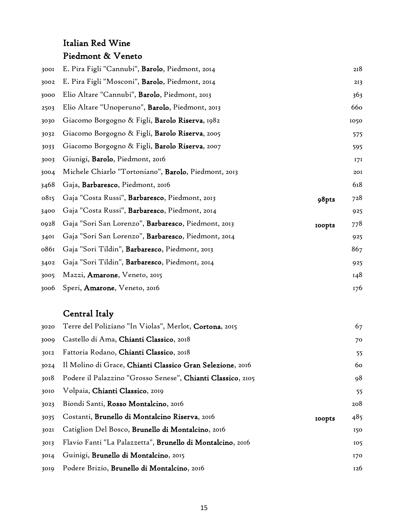#### Italian Red Wine Piedmont & Veneto

| 3001 | E. Pira Figli "Cannubi", Barolo, Piedmont, 2014                      | 218  |
|------|----------------------------------------------------------------------|------|
| 3002 | E. Pira Figli "Mosconi", Barolo, Piedmont, 2014                      | 213  |
| 3000 | Elio Altare "Cannubi", Barolo, Piedmont, 2013                        | 363  |
| 2503 | Elio Altare "Unoperuno", Barolo, Piedmont, 2013                      | 66o  |
| 3030 | Giacomo Borgogno & Figli, Barolo Riserva, 1982                       | 1050 |
| 3032 | Giacomo Borgogno & Figli, Barolo Riserva, 2005                       | 575  |
| 3033 | Giacomo Borgogno & Figli, Barolo Riserva, 2007                       | 595  |
| 3003 | Giunigi, Barolo, Piedmont, 2016                                      | 171  |
| 3004 | Michele Chiarlo "Tortoniano", Barolo, Piedmont, 2013                 | 201  |
| 3468 | Gaja, Barbaresco, Piedmont, 2016                                     | 618  |
| 0815 | Gaja "Costa Russi", Barbaresco, Piedmont, 2013<br>98pts              | 728  |
| 3400 | Gaja "Costa Russi", Barbaresco, Piedmont, 2014                       | 925  |
| 0928 | Gaja "Sori San Lorenzo", Barbaresco, Piedmont, 2013<br><b>100pts</b> | 778  |
| 3401 | Gaja "Sori San Lorenzo", <b>Barbaresco</b> , Piedmont, 2014          | 925  |
| 0861 | Gaja "Sori Tildin", Barbaresco, Piedmont, 2013                       | 867  |
| 3402 | Gaja "Sori Tildin", Barbaresco, Piedmont, 2014                       | 925  |
| 3005 | Mazzi, Amarone, Veneto, 2015                                         | 148  |
| 3006 | Speri, Amarone, Veneto, 2016                                         | 176  |

### Central Italy

| 3020 | Terre del Poliziano "In Violas", Merlot, Cortona, 2015      |               | 67  |
|------|-------------------------------------------------------------|---------------|-----|
| 3009 | Castello di Ama, Chianti Classico, 2018                     |               | 70  |
| 3012 | Fattoria Rodano, Chianti Classico, 2018                     |               | 55  |
| 3024 | Il Molino di Grace, Chianti Classico Gran Selezione, 2016   |               | 60  |
| 3018 | Podere il Palazzino "Grosso Senese", Chianti Classico, 2105 |               | 98  |
| 3010 | Volpaia, Chianti Classico, 2019                             |               | 55  |
| 3023 | Biondi Santi, Rosso Montalcino, 2016                        |               | 208 |
| 3035 | Costanti, Brunello di Montalcino Riserva, 2016              | <b>IOOpts</b> | 485 |
| 302I | Catiglion Del Bosco, Brunello di Montalcino, 2016           |               | 150 |
| 3013 | Flavio Fanti "La Palazzetta", Brunello di Montalcino, 2016  |               | 105 |
| 3014 | Guinigi, Brunello di Montalcino, 2015                       |               | 170 |
| 3019 | Podere Brizio, Brunello di Montalcino, 2016                 |               | 126 |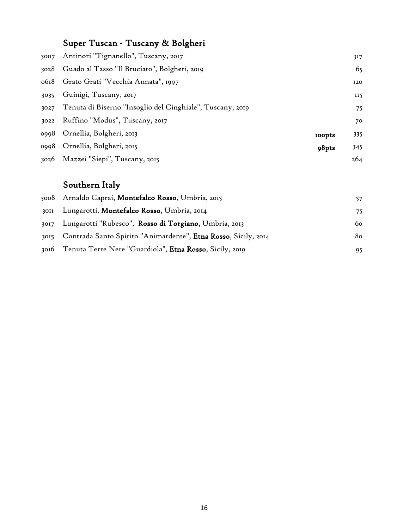## Super Tuscan - Tuscany & Bolgheri

|      | 3007 Antinori "Tignanello", Tuscany, 2017                 |               | 317 |
|------|-----------------------------------------------------------|---------------|-----|
|      | 3028 Guado al Tasso "Il Bruciato", Bolgheri, 2019         |               | 65  |
|      | 0618 Grato Grati "Vecchia Annata", 1997                   |               | 120 |
| 3035 | Guinigi, Tuscany, 2017                                    |               | II5 |
| 3027 | Tenuta di Biserno "Insoglio del Cinghiale", Tuscany, 2019 |               | 75  |
|      | 3022 Ruffino "Modus", Tuscany, 2017                       |               | 70  |
|      | 0998 Ornellia, Bolgheri, 2013                             | <b>IOOpts</b> | 335 |
|      | 0998 Ornellia, Bolgheri, 2015                             | 98pts         | 345 |
|      | 3026 Mazzei "Siepi", Tuscany, 2015                        |               | 264 |

## Southern Italy

|      | 3008 Arnaldo Caprai, Montefalco Rosso, Umbria, 2015                 | 57  |
|------|---------------------------------------------------------------------|-----|
| 30II | Lungarotti, Montefalco Rosso, Umbria, 2014                          | 75. |
|      | 3017 Lungarotti "Rubesco", Rosso di Torgiano, Umbria, 2013          | 60. |
|      | 3015 Contrada Santo Spirito "Animardente", Etna Rosso, Sicily, 2014 | 80. |
|      | 3016 Tenuta Terre Nere "Guardiola", Etna Rosso, Sicily, 2019        | 95  |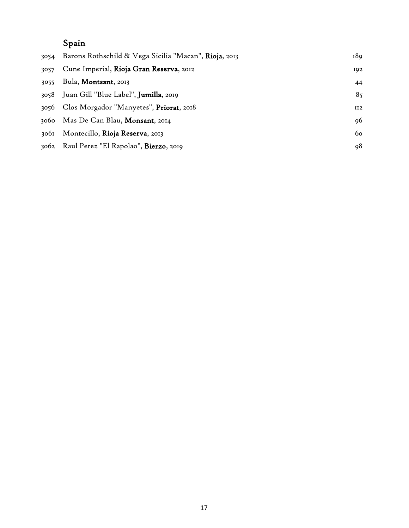## Spain

| 3054 | Barons Rothschild & Vega Sicilia "Macan", Rioja, 2013 | 189 |
|------|-------------------------------------------------------|-----|
| 3057 | Cune Imperial, Rioja Gran Reserva, 2012               | 192 |
| 3055 | Bula, Montsant, 2013                                  | 44  |
|      | 3058 Juan Gill "Blue Label", Jumilla, 2019            | 85  |
|      | 3056 Clos Morgador "Manyetes", Priorat, 2018          | II2 |
|      | 3060 Mas De Can Blau, Monsant, 2014                   | 96  |
| 3061 | Montecillo, Rioja Reserva, 2013                       | 60  |
|      | 3062 Raul Perez "El Rapolao", Bierzo, 2019            | 98  |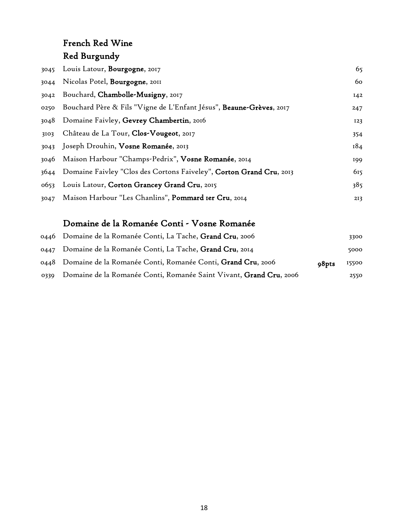#### French Red Wine Red Burgundy

| 3045 | Louis Latour, Bourgogne, 2017                                            | 65  |
|------|--------------------------------------------------------------------------|-----|
| 3044 | Nicolas Potel, <b>Bourgogne</b> , 2011                                   | 60  |
| 3042 | Bouchard, Chambolle-Musigny, 2017                                        | 142 |
| 0250 | Bouchard Père & Fils "Vigne de L'Enfant Jésus", Beaune-Grèves, 2017      | 247 |
| 3048 | Domaine Faivley, Gevrey Chambertin, 2016                                 | 123 |
| 3103 | Château de La Tour, Clos-Vougeot, 2017                                   | 354 |
|      | 3043 Joseph Drouhin, Vosne Romanée, 2013                                 | 184 |
|      | 3046 Maison Harbour "Champs-Pedrix", Vosne Romanée, 2014                 | 199 |
|      | 3644 Domaine Faivley "Clos des Cortons Faiveley", Corton Grand Cru, 2013 | 615 |
|      | 0653 Louis Latour, Corton Grancey Grand Cru, 2015                        | 385 |
| 3047 | Maison Harbour "Les Chanlins", Pommard 1er Cru, 2014                     | 213 |

#### Domaine de la Romanée Conti - Vosne Romanée

|      | 0446 Domaine de la Romanée Conti, La Tache, Grand Cru, 2006                |       | 3300  |
|------|----------------------------------------------------------------------------|-------|-------|
|      | 0447 Domaine de la Romanée Conti, La Tache, Grand Cru, 2014                |       | 5000  |
|      | 0448 Domaine de la Romanée Conti, Romanée Conti, Grand Cru, 2006           | o8pts | 15500 |
| 0330 | Domaine de la Romanée Conti, Romanée Saint Vivant, <b>Grand Cru</b> , 2006 |       | 2550  |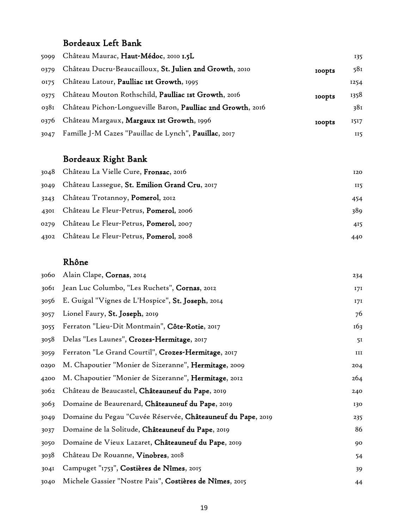#### Bordeaux Left Bank

| 5099 | Château Maurac, Haut-Médoc, 2010 1.5L                            |               | 135  |
|------|------------------------------------------------------------------|---------------|------|
| 0379 | Château Ducru-Beaucailloux, St. Julien 2nd Growth, 2010          | <b>IOODts</b> | 581  |
| 0175 | Château Latour, Paulliac Ist Growth, 1995                        |               | 1254 |
| 0375 | Château Mouton Rothschild, Paulliac Ist Growth, 2016             | <b>IOODts</b> | 1358 |
|      | 0381 Château Pichon-Longueville Baron, Paulliac 2nd Growth, 2016 |               | 38I  |
|      | 0376 Château Margaux, Margaux Ist Growth, 1996                   | <b>IOODts</b> | 1517 |
| 3047 | Famille J-M Cazes "Pauillac de Lynch", <b>Pauillac</b> , 2017    |               | II5  |

### Bordeaux Right Bank

|      | 3048 Château La Vielle Cure, Fronsac, 2016     | 120 |
|------|------------------------------------------------|-----|
| 3049 | Château Lassegue, St. Emilion Grand Cru, 2017  | II5 |
| 3243 | Château Trotannoy, <b>Pomerol</b> , 2012       | 454 |
| 4301 | Château Le Fleur-Petrus, Pomerol, 2006         | 389 |
|      | 0279 Château Le Fleur-Petrus, Pomerol, 2007    | 415 |
| 4302 | Château Le Fleur-Petrus, <b>Pomerol</b> , 2008 | 440 |

#### Rhône

| 3060 | Alain Clape, Cornas, 2014                                           | 234            |
|------|---------------------------------------------------------------------|----------------|
| 306I | Jean Luc Columbo, "Les Ruchets", Cornas, 2012                       | 171            |
| 3056 | E. Guigal "Vignes de L'Hospice", St. Joseph, 2014                   | 17I            |
| 3057 | Lionel Faury, St. Joseph, 2019                                      | 76             |
| 3055 | Ferraton "Lieu-Dit Montmain", Côte-Rotie, 2017                      | 163            |
| 3058 | Delas "Les Launes", Crozes-Hermitage, 2017                          | 5 <sub>I</sub> |
| 3059 | Ferraton "Le Grand Courtil", Crozes-Hermitage, 2017                 | III            |
| 0290 | M. Chapoutier "Monier de Sizeranne", <b>Hermitage</b> , 2009        | 204            |
| 4200 | M. Chapoutier "Monier de Sizeranne", Hermitage, 2012                | 264            |
| 3062 | Château de Beaucastel, Châteauneuf du Pape, 2019                    | 240            |
| 3063 | Domaine de Beaurenard, Châteauneuf du Pape, 2019                    | 130            |
| 3049 | Domaine du Pegau "Cuvée Réservée, <b>Châteauneuf du Pape</b> , 2019 | 235            |
| 3037 | Domaine de la Solitude, Châteauneuf du Pape, 2019                   | 86             |
| 3050 | Domaine de Vieux Lazaret, Châteauneuf du Pape, 2019                 | 90             |
| 3038 | Château De Rouanne, Vinobres, 2018                                  | 54             |
| 304I | Campuget "1753", Costières de Nîmes, 2015                           | 39             |
| 3040 | Michele Gassier "Nostre Pais", Costières de Nîmes, 2015             | 44             |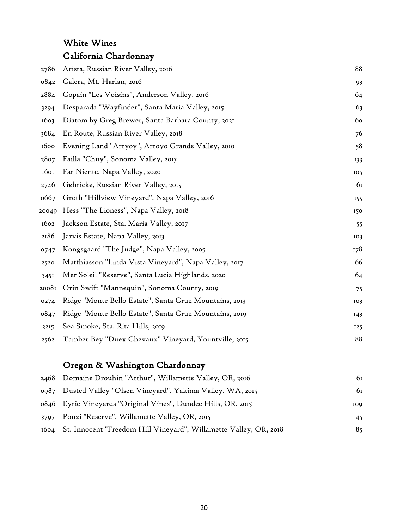### White Wines California Chardonnay

| 2786  | Arista, Russian River Valley, 2016                     | 88  |
|-------|--------------------------------------------------------|-----|
| 0842  | Calera, Mt. Harlan, 2016                               | 93  |
| 2884  | Copain "Les Voisins", Anderson Valley, 2016            | 64  |
| 3294  | Desparada "Wayfinder", Santa Maria Valley, 2015        | 63  |
| 1603  | Diatom by Greg Brewer, Santa Barbara County, 2021      | 60  |
| 3684  | En Route, Russian River Valley, 2018                   | 76  |
| 1600  | Evening Land "Arryoy", Arroyo Grande Valley, 2010      | 58  |
| 2807  | Failla "Chuy", Sonoma Valley, 2013                     | 133 |
| 1601  | Far Niente, Napa Valley, 2020                          | 105 |
| 2746  | Gehricke, Russian River Valley, 2015                   | 61  |
| 0667  | Groth "Hillview Vineyard", Napa Valley, 2016           | 155 |
| 20049 | Hess "The Lioness", Napa Valley, 2018                  | 150 |
| 1602  | Jackson Estate, Sta. Maria Valley, 2017                | 55  |
| 2186  | Jarvis Estate, Napa Valley, 2013                       | 103 |
| 0747  | Kongsgaard "The Judge", Napa Valley, 2005              | 178 |
| 2520  | Matthiasson "Linda Vista Vineyard", Napa Valley, 2017  | 66  |
| 3451  | Mer Soleil "Reserve", Santa Lucia Highlands, 2020      | 64  |
| 20081 | Orin Swift "Mannequin", Sonoma County, 2019            | 75  |
| 0274  | Ridge "Monte Bello Estate", Santa Cruz Mountains, 2013 | 103 |
| 0847  | Ridge "Monte Bello Estate", Santa Cruz Mountains, 2019 | 143 |
| 2215  | Sea Smoke, Sta. Rita Hills, 2019                       | 125 |
| 2562  | Tamber Bey "Duex Chevaux" Vineyard, Yountville, 2015   | 88  |
|       |                                                        |     |

### Oregon & Washington Chardonnay

| 2468 Domaine Drouhin "Arthur", Willamette Valley, OR, 2016             | 61  |
|------------------------------------------------------------------------|-----|
| 0987 Dusted Valley "Olsen Vineyard", Yakima Valley, WA, 2015           | 61  |
| 0846 Eyrie Vineyards "Original Vines", Dundee Hills, OR, 2015          | 109 |
| 3797 Ponzi "Reserve", Willamette Valley, OR, 2015                      | 45  |
| 1604 St. Innocent "Freedom Hill Vineyard", Willamette Valley, OR, 2018 | 85  |
|                                                                        |     |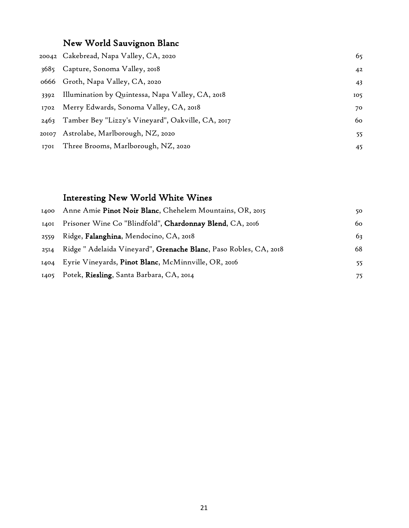### New World Sauvignon Blanc

|      | 20042   Cakebread, Napa Valley, CA, 2020               | 65  |
|------|--------------------------------------------------------|-----|
| 3685 | Capture, Sonoma Valley, 2018                           | 42  |
|      | 0666 Groth, Napa Valley, CA, 2020                      | 43  |
| 3392 | Illumination by Quintessa, Napa Valley, CA, 2018       | 105 |
| 1702 | Merry Edwards, Sonoma Valley, CA, 2018                 | 70  |
|      | 2463 Tamber Bey "Lizzy's Vineyard", Oakville, CA, 2017 | 60  |
|      | 20107 Astrolabe, Marlborough, NZ, 2020                 | 55  |
|      | 1701 Three Brooms, Marlborough, NZ, 2020               | 45  |

### Interesting New World White Wines

|      | 1400 Anne Amie Pinot Noir Blanc, Chehelem Mountains, OR, 2015     | 50  |
|------|-------------------------------------------------------------------|-----|
| I40I | Prisoner Wine Co "Blindfold", Chardonnay Blend, CA, 2016          | 60  |
| 2559 | Ridge, Falanghina, Mendocino, CA, 2018                            | 63  |
| 2514 | Ridge " Adelaida Vineyard", Grenache Blanc, Paso Robles, CA, 2018 | 68  |
|      | 1404 Eyrie Vineyards, Pinot Blanc, McMinnville, OR, 2016          | 55. |
|      | 1405 Potek, Riesling, Santa Barbara, CA, 2014                     | 75  |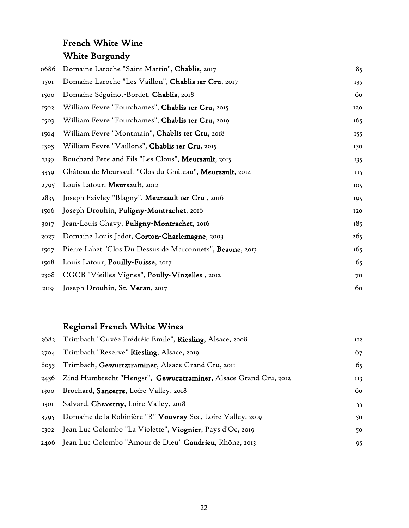### French White Wine White Burgundy

| 0686 | Domaine Laroche "Saint Martin", Chablis, 2017             | 85         |
|------|-----------------------------------------------------------|------------|
| 1501 | Domaine Laroche "Les Vaillon", Chablis Ier Cru, 2017      | 135        |
| 1500 | Domaine Séguinot-Bordet, Chablis, 2018                    | 60         |
| 1502 | William Fevre "Fourchames", Chablis Ier Cru, 2015         | <b>I20</b> |
| 1503 | William Fevre "Fourchames", Chablis Ier Cru, 2019         | 165        |
| 1504 | William Fevre "Montmain", Chablis Ier Cru, 2018           | 155        |
| 1505 | William Fevre "Vaillons", Chablis Ier Cru, 2015           | 130        |
| 2139 | Bouchard Pere and Fils "Les Clous", Meursault, 2015       | 135        |
| 3359 | Château de Meursault "Clos du Château", Meursault, 2014   | II5        |
| 2795 | Louis Latour, Meursault, 2012                             | 105        |
| 2835 | Joseph Faivley "Blagny", Meursault Ier Cru, 2016          | 195        |
| 1506 | Joseph Drouhin, Puligny-Montrachet, 2016                  | 120        |
| 3017 | Jean-Louis Chavy, Puligny-Montrachet, 2016                | 185        |
| 2027 | Domaine Louis Jadot, Corton-Charlemagne, 2003             | 265        |
| 1507 | Pierre Labet "Clos Du Dessus de Marconnets", Beaune, 2013 | 165        |
| 1508 | Louis Latour, Pouilly-Fuisse, 2017                        | 65         |
| 2308 | CGCB "Vieilles Vignes", Poully-Vinzelles, 2012            | 70         |
| 2119 | Joseph Drouhin, St. Veran, 2017                           | 60         |

#### Regional French White Wines

|      | 2682 Trimbach "Cuvée Frédréic Emile", Riesling, Alsace, 2008         | II2 |
|------|----------------------------------------------------------------------|-----|
| 2704 | Trimbach "Reserve" Riesling, Alsace, 2019                            | 67  |
| 8055 | Trimbach, Gewurtztraminer, Alsace Grand Cru, 2011                    | 65  |
|      | 2456 Zind Humbrecht "Hengst", Gewurztraminer, Alsace Grand Cru, 2012 | II3 |
| 1300 | Brochard, Sancerre, Loire Valley, 2018                               | 60  |
| 1301 | Salvard, <b>Cheverny</b> , Loire Valley, 2018                        | 55  |
| 3795 | Domaine de la Robinière "R" Vouvray Sec, Loire Valley, 2019          | 50  |
|      | 1302 Jean Luc Colombo "La Violette", Viognier, Pays d'Oc, 2019       | 50  |
|      | 2406 Jean Luc Colombo "Amour de Dieu" <b>Condrieu</b> , Rhône, 2013  | 95  |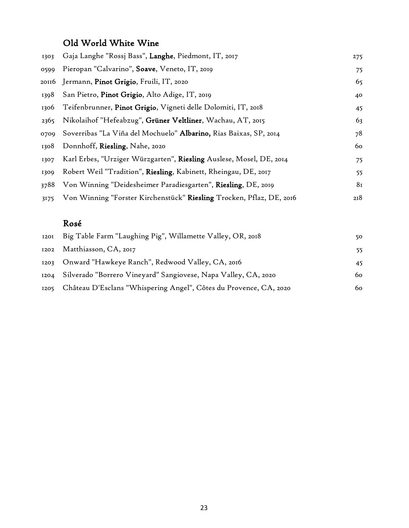#### Old World White Wine

| 1303 | Gaja Langhe "Rossj Bass", Langhe, Piedmont, IT, 2017                 | 275 |
|------|----------------------------------------------------------------------|-----|
| 0599 | Pieropan "Calvarino", Soave, Veneto, IT, 2019                        | 75  |
|      | 20116 Jermann, Pinot Grigio, Fruili, IT, 2020                        | 65  |
| 1398 | San Pietro, Pinot Grigio, Alto Adige, IT, 2019                       | 40  |
| 1306 | Teifenbrunner, Pinot Grigio, Vigneti delle Dolomiti, IT, 2018        | 45  |
| 2365 | Nikolaihof "Hefeabzug", Grüner Veltliner, Wachau, AT, 2015           | 63  |
| 0709 | Soverribas "La Viña del Mochuelo" Albarino, Rias Baixas, SP, 2014    | 78  |
| 1308 | Donnhoff, Riesling, Nahe, 2020                                       | 60  |
| 1307 | Karl Erbes, "Urziger Würzgarten", Riesling Auslese, Mosel, DE, 2014  | 75  |
| 1309 | Robert Weil "Tradition", Riesling, Kabinett, Rheingau, DE, 2017      | 55  |
| 3788 | Von Winning "Deidesheimer Paradiesgarten", Riesling, DE, 2019        | 81  |
| 3175 | Von Winning "Forster Kirchenstück" Riesling Trocken, Pflaz, DE, 2016 | 218 |

#### Rosé

|      | 1201 Big Table Farm "Laughing Pig", Willamette Valley, OR, 2018        | 50. |
|------|------------------------------------------------------------------------|-----|
|      | 1202 Matthiasson, CA, 2017                                             | 55. |
| 1203 | Onward "Hawkeye Ranch", Redwood Valley, CA, 2016                       |     |
|      | 1204 Silverado "Borrero Vineyard" Sangiovese, Napa Valley, CA, 2020    | 60  |
|      | 1205 Château D'Esclans "Whispering Angel", Côtes du Provence, CA, 2020 | 60  |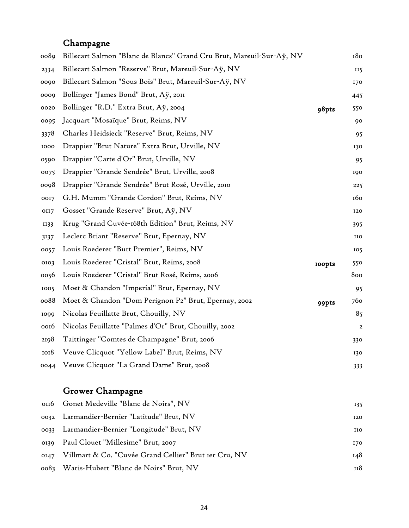#### Champagne

| 0089 | Billecart Salmon "Blanc de Blancs" Grand Cru Brut, Mareuil-Sur-Aÿ, NV |               | 180             |
|------|-----------------------------------------------------------------------|---------------|-----------------|
| 2334 | Billecart Salmon "Reserve" Brut, Mareuil-Sur-Aÿ, NV                   |               | II <sub>5</sub> |
| 0090 | Billecart Salmon "Sous Bois" Brut, Mareuil-Sur-Aÿ, NV                 |               | 170             |
| 0009 | Bollinger "James Bond" Brut, Aÿ, 2011                                 |               | 445             |
| 0020 | Bollinger "R.D." Extra Brut, Aÿ, 2004                                 | 98pts         | 550             |
| 0095 | Jacquart "Mosaïque" Brut, Reims, NV                                   |               | 90              |
| 3378 | Charles Heidsieck "Reserve" Brut, Reims, NV                           |               | 95              |
| 1000 | Drappier "Brut Nature" Extra Brut, Urville, NV                        |               | 130             |
| 0590 | Drappier "Carte d'Or" Brut, Urville, NV                               |               | 95              |
| 0075 | Drappier "Grande Sendrée" Brut, Urville, 2008                         |               | 190             |
| 0098 | Drappier "Grande Sendrée" Brut Rosé, Urville, 2010                    |               | 225             |
| 0017 | G.H. Mumm "Grande Cordon" Brut, Reims, NV                             |               | 160             |
| OII7 | Gosset "Grande Reserve" Brut, Aÿ, NV                                  |               | 120             |
| II33 | Krug "Grand Cuvée-168th Edition" Brut, Reims, NV                      |               | 395             |
| 3137 | Leclerc Briant "Reserve" Brut, Epernay, NV                            |               | IIO             |
| 0057 | Louis Roederer "Burt Premier", Reims, NV                              |               | 105             |
| 0103 | Louis Roederer "Cristal" Brut, Reims, 2008                            | <b>roopts</b> | 550             |
| 0056 | Louis Roederer "Cristal" Brut Rosé, Reims, 2006                       |               | 800             |
| 1005 | Moet & Chandon "Imperial" Brut, Epernay, NV                           |               | 95              |
| 0088 | Moet & Chandon "Dom Perignon P2" Brut, Epernay, 2002                  | 99pts         | 760             |
| 1099 | Nicolas Feuillatte Brut, Chouilly, NV                                 |               | 85              |
| 0016 | Nicolas Feuillatte "Palmes d'Or" Brut, Chouilly, 2002                 |               | $\overline{a}$  |
| 2198 | Taittinger "Comtes de Champagne" Brut, 2006                           |               | 330             |
| 1018 | Veuve Clicquot "Yellow Label" Brut, Reims, NV                         |               | 130             |
| 0044 | Veuve Clicquot "La Grand Dame" Brut, 2008                             |               | 333             |
|      |                                                                       |               |                 |

#### Grower Champagne

| 0116 Gonet Medeville "Blanc de Noirs", NV                  | 135        |
|------------------------------------------------------------|------------|
| 0032 Larmandier-Bernier "Latitude" Brut, NV                | <b>120</b> |
| 0033 Larmandier-Bernier "Longitude" Brut, NV               | <b>IIO</b> |
| 0139 Paul Clouet "Millesime" Brut, 2007                    | 170        |
| 0147 Villmart & Co. "Cuvée Grand Cellier" Brut 1er Cru, NV | 148        |
| 0083 Waris-Hubert "Blanc de Noirs" Brut, NV                | 118        |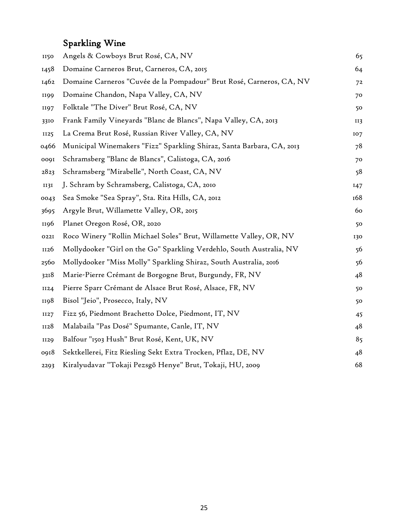## Sparkling Wine

| <b>II50</b> | Angels & Cowboys Brut Rosé, CA, NV                                    | 65             |
|-------------|-----------------------------------------------------------------------|----------------|
| 1458        | Domaine Carneros Brut, Carneros, CA, 2015                             | 64             |
| 1462        | Domaine Carneros "Cuvée de la Pompadour" Brut Rosé, Carneros, CA, NV  | 7 <sup>2</sup> |
| <b>1199</b> | Domaine Chandon, Napa Valley, CA, NV                                  | 70             |
| 1197        | Folktale "The Diver" Brut Rosé, CA, NV                                | 50             |
| 3310        | Frank Family Vineyards "Blanc de Blancs", Napa Valley, CA, 2013       | II3            |
| <b>II25</b> | La Crema Brut Rosé, Russian River Valley, CA, NV                      | 107            |
| 0466        | Municipal Winemakers "Fizz" Sparkling Shiraz, Santa Barbara, CA, 2013 | 78             |
| 0091        | Schramsberg "Blanc de Blancs", Calistoga, CA, 2016                    | 70             |
| 2823        | Schramsberg "Mirabelle", North Coast, CA, NV                          | 58             |
| <b>II3I</b> | J. Schram by Schramsberg, Calistoga, CA, 2010                         | 147            |
| 0043        | Sea Smoke "Sea Spray", Sta. Rita Hills, CA, 2012                      | 168            |
| 3695        | Argyle Brut, Willamette Valley, OR, 2015                              | 60             |
| II96        | Planet Oregon Rosé, OR, 2020                                          | 50             |
| 0221        | Roco Winery "Rollin Michael Soles" Brut, Willamette Valley, OR, NV    | 130            |
| II26        | Mollydooker "Girl on the Go" Sparkling Verdehlo, South Australia, NV  | 56             |
| 2560        | Mollydooker "Miss Molly" Sparkling Shiraz, South Australia, 2016      | 56             |
| 3218        | Marie-Pierre Crémant de Borgogne Brut, Burgundy, FR, NV               | 48             |
| II24        | Pierre Sparr Crémant de Alsace Brut Rosé, Alsace, FR, NV              | 50             |
| <b>1198</b> | Bisol "Jeio", Prosecco, Italy, NV                                     | 50             |
| II27        | Fizz 56, Piedmont Brachetto Dolce, Piedmont, IT, NV                   | 45             |
| II28        | Malabaila "Pas Dosé" Spumante, Canle, IT, NV                          | 48             |
| <b>II29</b> | Balfour "1503 Hush" Brut Rosé, Kent, UK, NV                           | 85             |
| 0918        | Sektkellerei, Fitz Riesling Sekt Extra Trocken, Pflaz, DE, NV         | 48             |
| 2293        | Kiralyudavar "Tokaji Pezsgõ Henye" Brut, Tokaji, HU, 2009             | 68             |